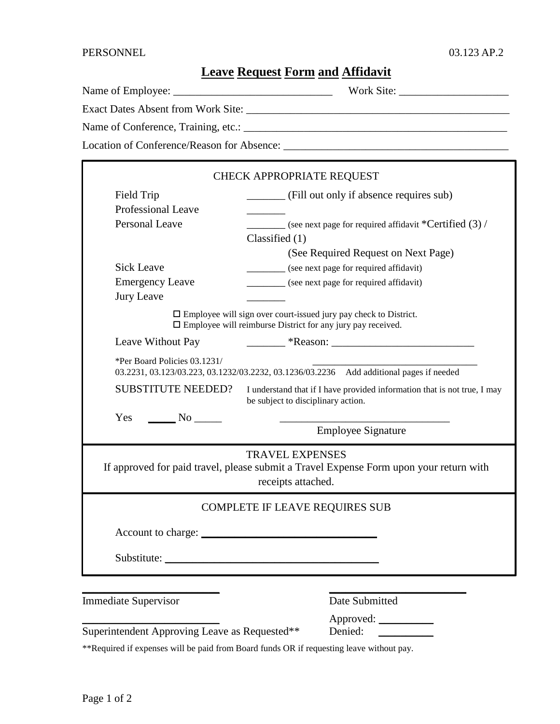## **Leave Request Form and Affidavit**

|                                            | Work Site: $\frac{1}{\sqrt{1-\frac{1}{2}} \cdot \frac{1}{\sqrt{1-\frac{1}{2}} \cdot \frac{1}{\sqrt{1-\frac{1}{2}} \cdot \frac{1}{\sqrt{1-\frac{1}{2}} \cdot \frac{1}{\sqrt{1-\frac{1}{2}} \cdot \frac{1}{\sqrt{1-\frac{1}{2}} \cdot \frac{1}{\sqrt{1-\frac{1}{2}} \cdot \frac{1}{\sqrt{1-\frac{1}{2}} \cdot \frac{1}{\sqrt{1-\frac{1}{2}} \cdot \frac{1}{\sqrt{1-\frac{1}{2}} \cdot \frac{1}{\sqrt{1-\frac{1}{2}} \cdot \frac{1}{\sqrt{1-\frac$ |  |
|--------------------------------------------|-------------------------------------------------------------------------------------------------------------------------------------------------------------------------------------------------------------------------------------------------------------------------------------------------------------------------------------------------------------------------------------------------------------------------------------------------|--|
| Exact Dates Absent from Work Site:         |                                                                                                                                                                                                                                                                                                                                                                                                                                                 |  |
| Name of Conference, Training, etc.:        |                                                                                                                                                                                                                                                                                                                                                                                                                                                 |  |
| Location of Conference/Reason for Absence: |                                                                                                                                                                                                                                                                                                                                                                                                                                                 |  |

| CHECK APPROPRIATE REQUEST                                                                                                                     |                                                                      |  |
|-----------------------------------------------------------------------------------------------------------------------------------------------|----------------------------------------------------------------------|--|
| Field Trip                                                                                                                                    | (Fill out only if absence requires sub)                              |  |
| <b>Professional Leave</b>                                                                                                                     |                                                                      |  |
| <b>Personal Leave</b>                                                                                                                         | $\frac{1}{2}$ (see next page for required affidavit *Certified (3) / |  |
|                                                                                                                                               | Classified (1)                                                       |  |
|                                                                                                                                               | (See Required Request on Next Page)                                  |  |
| <b>Sick Leave</b>                                                                                                                             | (see next page for required affidavit)                               |  |
| <b>Emergency Leave</b>                                                                                                                        | (see next page for required affidavit)                               |  |
| <b>Jury Leave</b>                                                                                                                             |                                                                      |  |
| $\Box$ Employee will sign over court-issued jury pay check to District.<br>$\Box$ Employee will reimburse District for any jury pay received. |                                                                      |  |
| Leave Without Pay                                                                                                                             | $*Reason:$                                                           |  |
| *Per Board Policies 03.1231/<br>03.2231, 03.123/03.223, 03.1232/03.2232, 03.1236/03.2236 Add additional pages if needed                       |                                                                      |  |
| <b>SUBSTITUTE NEEDED?</b><br>I understand that if I have provided information that is not true, I may<br>be subject to disciplinary action.   |                                                                      |  |
|                                                                                                                                               |                                                                      |  |
|                                                                                                                                               | <b>Employee Signature</b>                                            |  |
| <b>TRAVEL EXPENSES</b>                                                                                                                        |                                                                      |  |
| If approved for paid travel, please submit a Travel Expense Form upon your return with<br>receipts attached.                                  |                                                                      |  |
| <b>COMPLETE IF LEAVE REQUIRES SUB</b>                                                                                                         |                                                                      |  |
|                                                                                                                                               |                                                                      |  |
|                                                                                                                                               |                                                                      |  |
|                                                                                                                                               |                                                                      |  |
| <b>Immediate Supervisor</b>                                                                                                                   | Date Submitted                                                       |  |

Superintendent Approving Leave as Requested\*\* Denied:

\_\_\_\_\_\_\_\_\_\_\_\_\_\_\_\_\_\_\_\_\_\_\_\_\_ Approved: \_\_\_\_\_\_\_\_\_\_